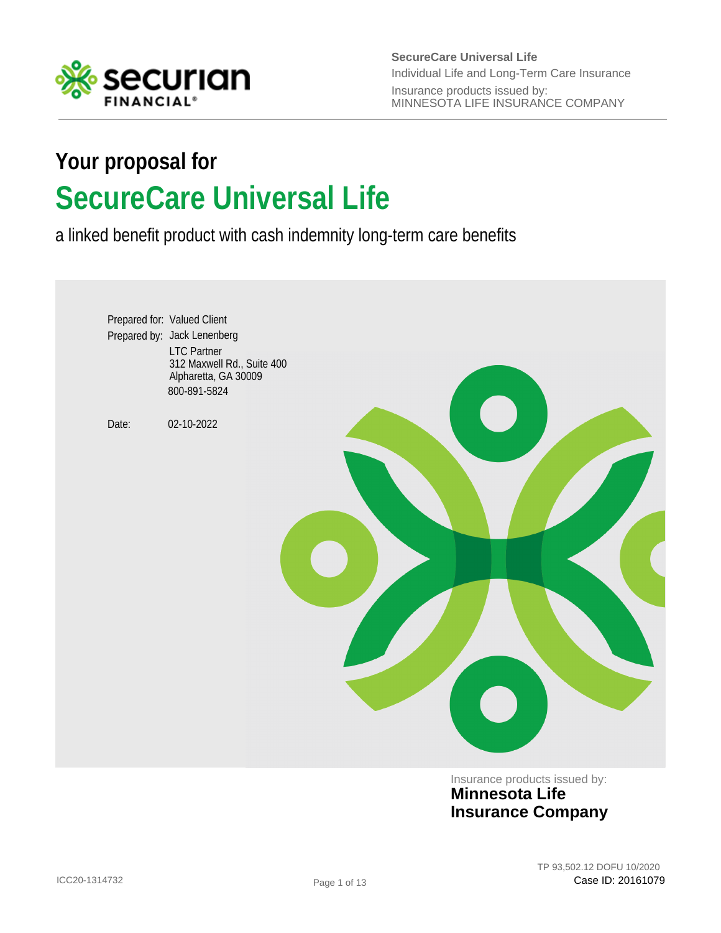

**SecureCare Universal Life** Insurance products issued by: MINNESOTA LIFE INSURANCE COMPANY Individual Life and Long-Term Care Insurance

# **SecureCare Universal Life Your proposal for**

a linked benefit product with cash indemnity long-term care benefits



Insurance products issued by: **Minnesota Life Insurance Company**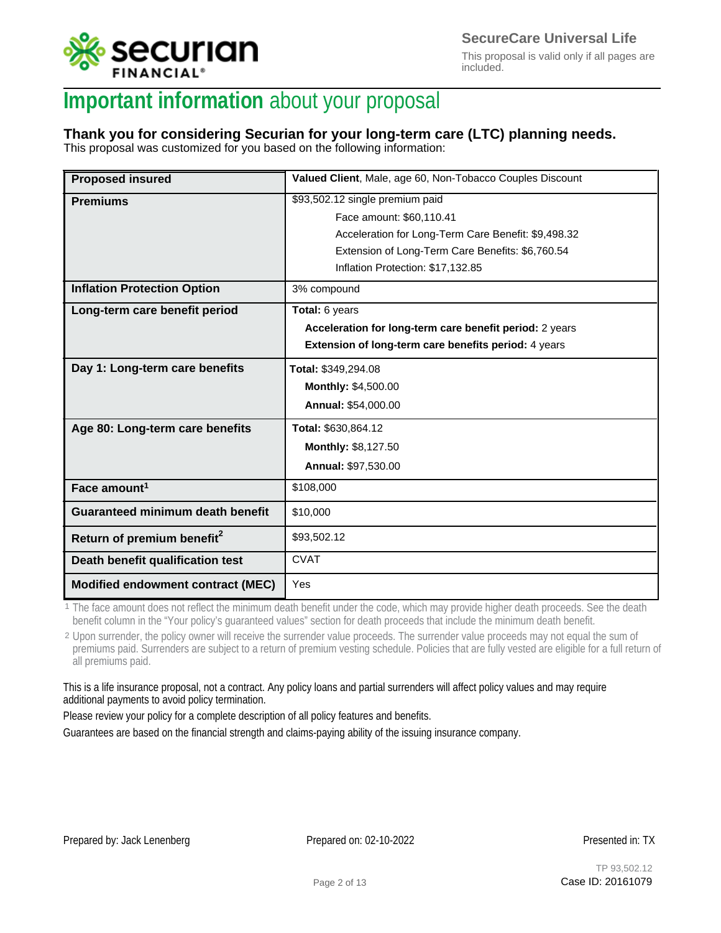

This proposal is valid only if all pages are included.

## **Important information** about your proposal

## **Thank you for considering Securian for your long-term care (LTC) planning needs.**

This proposal was customized for you based on the following information:

| <b>Proposed insured</b>                 | Valued Client, Male, age 60, Non-Tobacco Couples Discount |
|-----------------------------------------|-----------------------------------------------------------|
| <b>Premiums</b>                         | \$93,502.12 single premium paid                           |
|                                         | Face amount: \$60,110.41                                  |
|                                         | Acceleration for Long-Term Care Benefit: \$9,498.32       |
|                                         | Extension of Long-Term Care Benefits: \$6,760.54          |
|                                         | Inflation Protection: \$17,132.85                         |
| <b>Inflation Protection Option</b>      | 3% compound                                               |
| Long-term care benefit period           | Total: 6 years                                            |
|                                         | Acceleration for long-term care benefit period: 2 years   |
|                                         | Extension of long-term care benefits period: 4 years      |
| Day 1: Long-term care benefits          | Total: \$349,294.08                                       |
|                                         | Monthly: \$4,500.00                                       |
|                                         | Annual: \$54,000.00                                       |
| Age 80: Long-term care benefits         | Total: \$630,864.12                                       |
|                                         | <b>Monthly: \$8,127.50</b>                                |
|                                         | Annual: \$97,530.00                                       |
| Face amount <sup>1</sup>                | \$108,000                                                 |
| <b>Guaranteed minimum death benefit</b> | \$10,000                                                  |
| Return of premium benefit <sup>2</sup>  | \$93,502.12                                               |
| Death benefit qualification test        | <b>CVAT</b>                                               |
| Modified endowment contract (MEC)       | Yes                                                       |

<sup>1</sup> The face amount does not reflect the minimum death benefit under the code, which may provide higher death proceeds. See the death benefit column in the "Your policy's guaranteed values" section for death proceeds that include the minimum death benefit.

<sup>2</sup> Upon surrender, the policy owner will receive the surrender value proceeds. The surrender value proceeds may not equal the sum of premiums paid. Surrenders are subject to a return of premium vesting schedule. Policies that are fully vested are eligible for a full return of all premiums paid.

This is a life insurance proposal, not a contract. Any policy loans and partial surrenders will affect policy values and may require additional payments to avoid policy termination.

Please review your policy for a complete description of all policy features and benefits.

Guarantees are based on the financial strength and claims-paying ability of the issuing insurance company.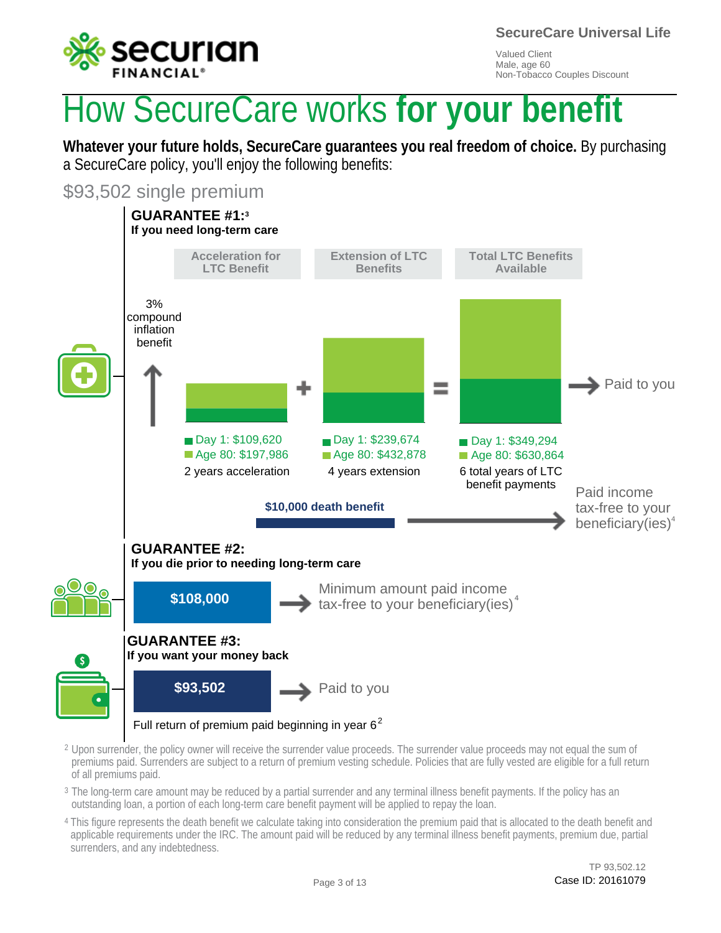

# How SecureCare works **for your benefit**

**Whatever your future holds, SecureCare guarantees you real freedom of choice.** By purchasing a SecureCare policy, you'll enjoy the following benefits:

\$93,502 single premium



- $^2$  Upon surrender, the policy owner will receive the surrender value proceeds. The surrender value proceeds may not equal the sum of premiums paid. Surrenders are subject to a return of premium vesting schedule. Policies that are fully vested are eligible for a full return of all premiums paid.
- $^{\rm 3}$  The long-term care amount may be reduced by a partial surrender and any terminal illness benefit payments. If the policy has an outstanding loan, a portion of each long-term care benefit payment will be applied to repay the loan.
- <sup>4</sup> This figure represents the death benefit we calculate taking into consideration the premium paid that is allocated to the death benefit and applicable requirements under the IRC. The amount paid will be reduced by any terminal illness benefit payments, premium due, partial surrenders, and any indebtedness.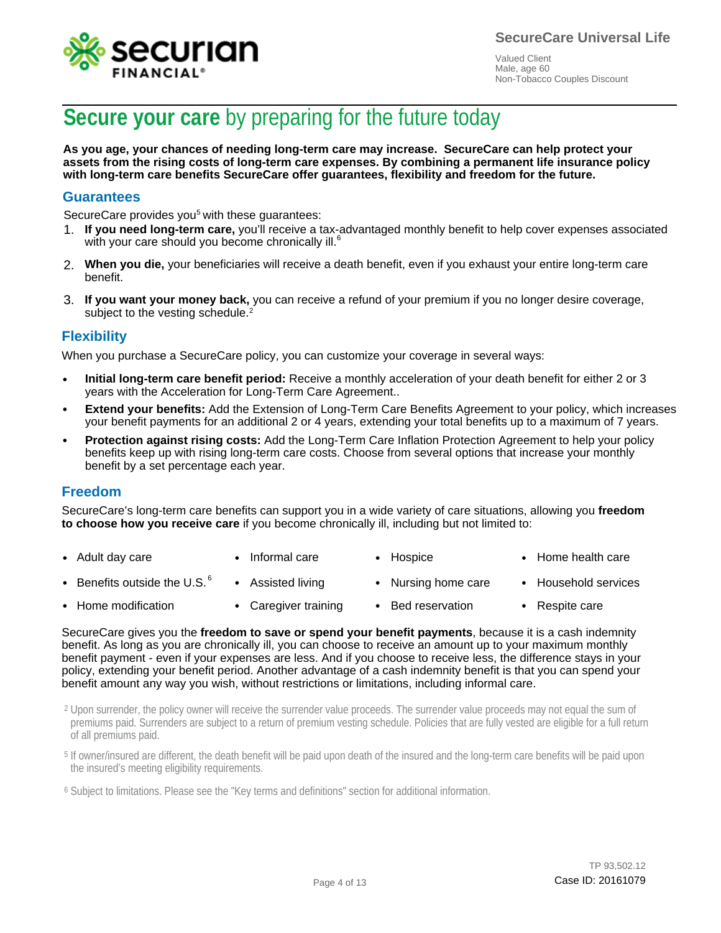



## **Secure your care** by preparing for the future today

**As you age, your chances of needing long-term care may increase. SecureCare can help protect your assets from the rising costs of long-term care expenses. By combining a permanent life insurance policy with long-term care benefits SecureCare offer guarantees, flexibility and freedom for the future.**

### **Guarantees**

SecureCare provides you<sup>5</sup> with these guarantees:

- 1. If you need long-term care, you'll receive a tax-advantaged monthly benefit to help cover expenses associated with you heed long term care, you heeling is the with your care should you become chronically ill.<sup>6</sup>
- **When you die,** your beneficiaries will receive a death benefit, even if you exhaust your entire long-term care 2. benefit.
- 3. If you want your money back, you can receive a refund of your premium if you no longer desire coverage, subject to the vesting schedule.<sup>2</sup>

### **Flexibility**

When you purchase a SecureCare policy, you can customize your coverage in several ways:

- **Initial long-term care benefit period:** Receive a monthly acceleration of your death benefit for either 2 or 3 years with the Acceleration for Long-Term Care Agreement.. •
- **Extend your benefits:** Add the Extension of Long-Term Care Benefits Agreement to your policy, which increases your benefit payments for an additional 2 or 4 years, extending your total benefits up to a maximum of 7 years.
- **Protection against rising costs:** Add the Long-Term Care Inflation Protection Agreement to help your policy benefits keep up with rising long-term care costs. Choose from several options that increase your monthly benefit by a set percentage each year.

#### **Freedom**

SecureCare's long-term care benefits can support you in a wide variety of care situations, allowing you **freedom to choose how you receive care** if you become chronically ill, including but not limited to:

- Adult day care • Informal care • Hospice • Home health care
- Benefits outside the U.S.  $^6$ • • Assisted living • Nursing home care • Household services
- Home modification • • Caregiver training • Bed reservation • Respite care

SecureCare gives you the **freedom to save or spend your benefit payments**, because it is a cash indemnity benefit. As long as you are chronically ill, you can choose to receive an amount up to your maximum monthly benefit payment - even if your expenses are less. And if you choose to receive less, the difference stays in your policy, extending your benefit period. Another advantage of a cash indemnity benefit is that you can spend your benefit amount any way you wish, without restrictions or limitations, including informal care.

 $^2$  Upon surrender, the policy owner will receive the surrender value proceeds. The surrender value proceeds may not equal the sum of premiums paid. Surrenders are subject to a return of premium vesting schedule. Policies that are fully vested are eligible for a full return of all premiums paid.

<sup>5</sup> If owner/insured are different, the death benefit will be paid upon death of the insured and the long-term care benefits will be paid upon the insured's meeting eligibility requirements.

<sup>6</sup> Subject to limitations. Please see the "Key terms and definitions" section for additional information.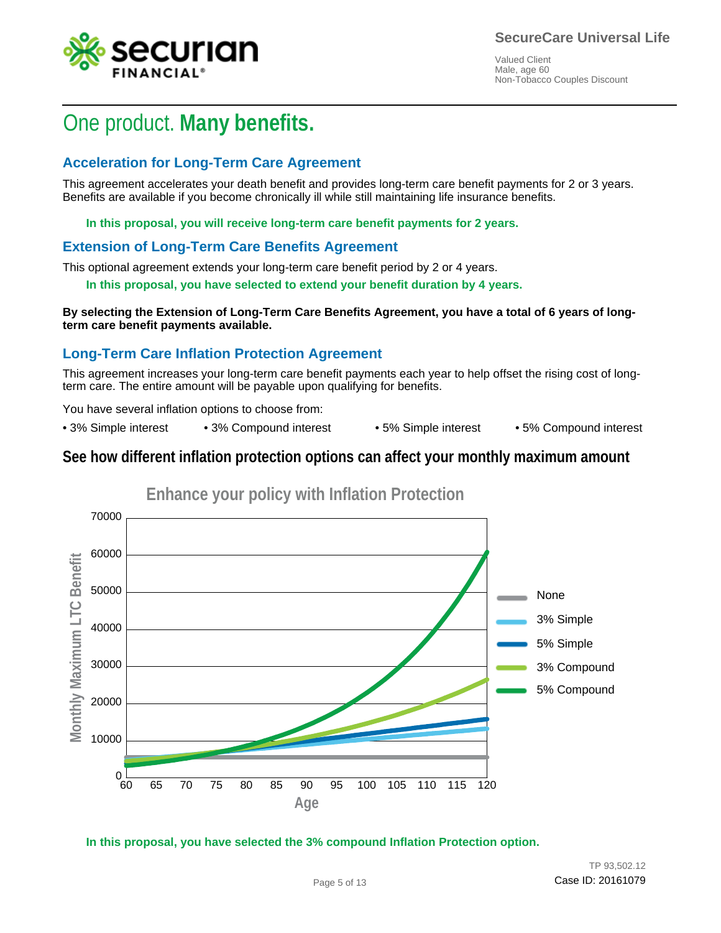

## One product. **Many benefits.**

### **Acceleration for Long-Term Care Agreement**

This agreement accelerates your death benefit and provides long-term care benefit payments for 2 or 3 years. Benefits are available if you become chronically ill while still maintaining life insurance benefits.

**In this proposal, you will receive long-term care benefit payments for 2 years.**

### **Extension of Long-Term Care Benefits Agreement**

This optional agreement extends your long-term care benefit period by 2 or 4 years.

**In this proposal, you have selected to extend your benefit duration by 4 years.**

**By selecting the Extension of Long-Term Care Benefits Agreement, you have a total of 6 years of longterm care benefit payments available.**

### **Long-Term Care Inflation Protection Agreement**

This agreement increases your long-term care benefit payments each year to help offset the rising cost of longterm care. The entire amount will be payable upon qualifying for benefits.

You have several inflation options to choose from:

• 3% Simple interest • 3% Compound interest • 5% Simple interest • 5% Compound interest

### **See how different inflation protection options can affect your monthly maximum amount**



**In this proposal, you have selected the 3% compound Inflation Protection option.**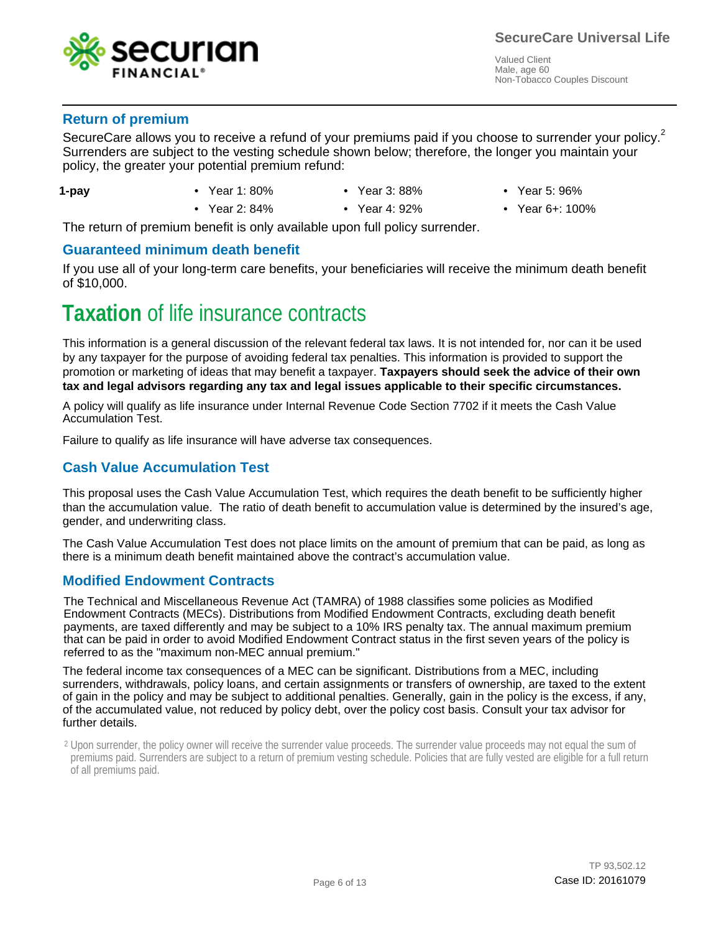

### **Return of premium**

SecureCare allows you to receive a refund of your premiums paid if you choose to surrender your policy.<sup>2</sup> Surrenders are subject to the vesting schedule shown below; therefore, the longer you maintain your Surrenders are subject to the vesting schedule shown below; therefore, the longer you maintain your policy, the greater your potential premium refund: policy, the greater your potential premium refund:

- **1-pay**
- Year 1: 80%
- Year 3: 88%
- Year 5: 96%
- Year 2: 84% Year 4: 92% Year 6+: 100%
- Year 4: 92%
- 

The return of premium benefit is only available upon full policy surrender.

### **Guaranteed minimum death benefit**

If you use all of your long-term care benefits, your beneficiaries will receive the minimum death benefit of \$10,000.

## **Taxation** of life insurance contracts

This information is a general discussion of the relevant federal tax laws. It is not intended for, nor can it be used by any taxpayer for the purpose of avoiding federal tax penalties. This information is provided to support the promotion or marketing of ideas that may benefit a taxpayer. **Taxpayers should seek the advice of their own tax and legal advisors regarding any tax and legal issues applicable to their specific circumstances.**

A policy will qualify as life insurance under Internal Revenue Code Section 7702 if it meets the Cash Value Accumulation Test.

Failure to qualify as life insurance will have adverse tax consequences.

### **Cash Value Accumulation Test**

This proposal uses the Cash Value Accumulation Test, which requires the death benefit to be sufficiently higher than the accumulation value. The ratio of death benefit to accumulation value is determined by the insured's age, gender, and underwriting class.

The Cash Value Accumulation Test does not place limits on the amount of premium that can be paid, as long as there is a minimum death benefit maintained above the contract's accumulation value.

### **Modified Endowment Contracts**

The Technical and Miscellaneous Revenue Act (TAMRA) of 1988 classifies some policies as Modified Endowment Contracts (MECs). Distributions from Modified Endowment Contracts, excluding death benefit payments, are taxed differently and may be subject to a 10% IRS penalty tax. The annual maximum premium that can be paid in order to avoid Modified Endowment Contract status in the first seven years of the policy is referred to as the "maximum non-MEC annual premium."

The federal income tax consequences of a MEC can be significant. Distributions from a MEC, including surrenders, withdrawals, policy loans, and certain assignments or transfers of ownership, are taxed to the extent of gain in the policy and may be subject to additional penalties. Generally, gain in the policy is the excess, if any, of the accumulated value, not reduced by policy debt, over the policy cost basis. Consult your tax advisor for further details.

 $2$  Upon surrender, the policy owner will receive the surrender value proceeds. The surrender value proceeds may not equal the sum of premiums paid. Surrenders are subject to a return of premium vesting schedule. Policies that are fully vested are eligible for a full return of all premiums paid.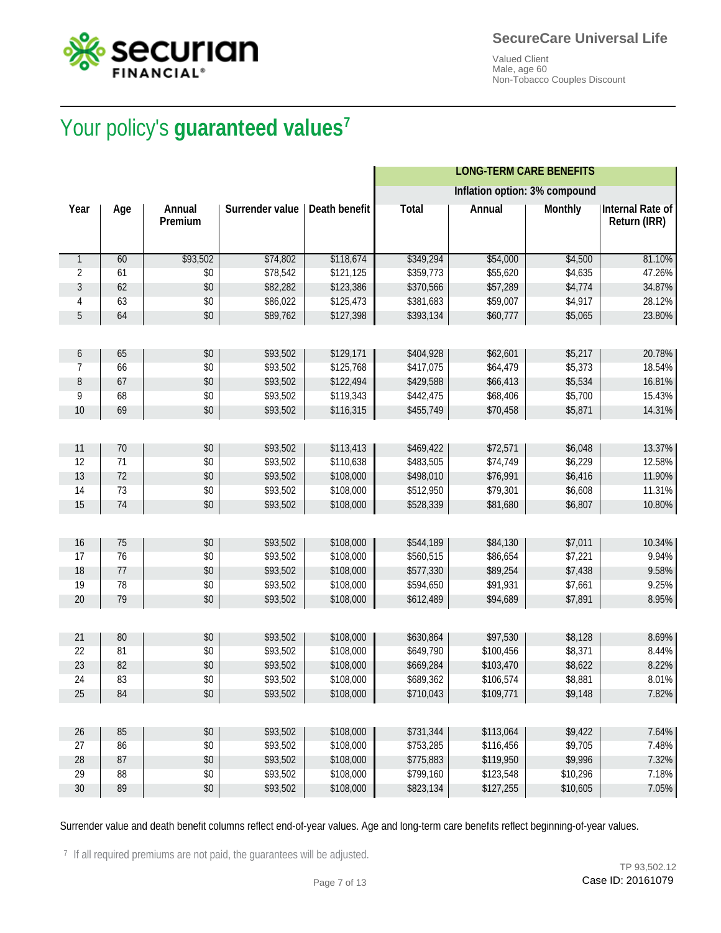



# Your policy's **guaranteed values<sup>7</sup>** Your policy's **guaranteed values**

|              |     |                   |                        |                      |              | <b>LONG-TERM CARE BENEFITS</b> |                |                                         |
|--------------|-----|-------------------|------------------------|----------------------|--------------|--------------------------------|----------------|-----------------------------------------|
|              |     |                   |                        |                      |              | Inflation option: 3% compound  |                |                                         |
| Year         | Age | Annual<br>Premium | <b>Surrender value</b> | <b>Death benefit</b> | <b>Total</b> | <b>Annual</b>                  | <b>Monthly</b> | <b>Internal Rate of</b><br>Return (IRR) |
| $\mathbf{1}$ | 60  | \$93,502          | \$74,802               | \$118,674            | \$349,294    | \$54,000                       | \$4,500        | 81.10%                                  |
| 2            | 61  | \$0               | \$78,542               | \$121,125            | \$359,773    | \$55,620                       | \$4,635        | 47.26%                                  |
| 3            | 62  | \$0               | \$82,282               | \$123,386            | \$370,566    | \$57,289                       | \$4,774        | 34.87%                                  |
| 4            | 63  | \$0               | \$86,022               | \$125,473            | \$381,683    | \$59,007                       | \$4,917        | 28.12%                                  |
| 5            | 64  | \$0               | \$89,762               | \$127,398            | \$393,134    | \$60,777                       | \$5,065        | 23.80%                                  |
|              |     |                   |                        |                      |              |                                |                |                                         |
| 6            | 65  | \$0               | \$93,502               | \$129,171            | \$404,928    | \$62,601                       | \$5,217        | 20.78%                                  |
| 7            | 66  | \$0               | \$93,502               | \$125,768            | \$417,075    | \$64,479                       | \$5,373        | 18.54%                                  |
| 8            | 67  | \$0               | \$93,502               | \$122,494            | \$429,588    | \$66,413                       | \$5,534        | 16.81%                                  |
| 9            | 68  | \$0               | \$93,502               | \$119,343            | \$442,475    | \$68,406                       | \$5,700        | 15.43%                                  |
| 10           | 69  | \$0               | \$93,502               | \$116,315            | \$455,749    | \$70,458                       | \$5,871        | 14.31%                                  |
|              |     |                   |                        |                      |              |                                |                |                                         |
| 11           | 70  | \$0               | \$93,502               | \$113,413            | \$469,422    | \$72,571                       | \$6,048        | 13.37%                                  |
| 12           | 71  | \$0               | \$93,502               | \$110,638            | \$483,505    | \$74,749                       | \$6,229        | 12.58%                                  |
| 13           | 72  | \$0               | \$93,502               | \$108,000            | \$498,010    | \$76,991                       | \$6,416        | 11.90%                                  |
| 14           | 73  | \$0               | \$93,502               | \$108,000            | \$512,950    | \$79,301                       | \$6,608        | 11.31%                                  |
| 15           | 74  | \$0               | \$93,502               | \$108,000            | \$528,339    | \$81,680                       | \$6,807        | 10.80%                                  |
|              |     |                   |                        |                      |              |                                |                |                                         |
| 16           | 75  | \$0               | \$93,502               | \$108,000            | \$544,189    | \$84,130                       | \$7,011        | 10.34%                                  |
| 17           | 76  | \$0               | \$93,502               | \$108,000            | \$560,515    | \$86,654                       | \$7,221        | 9.94%                                   |
| 18           | 77  | \$0               | \$93,502               | \$108,000            | \$577,330    | \$89,254                       | \$7,438        | 9.58%                                   |
| 19           | 78  | \$0               | \$93,502               | \$108,000            | \$594,650    | \$91,931                       | \$7,661        | 9.25%                                   |
| 20           | 79  | \$0               | \$93,502               | \$108,000            | \$612,489    | \$94,689                       | \$7,891        | 8.95%                                   |
|              |     |                   |                        |                      |              |                                |                |                                         |
| 21           | 80  | \$0               | \$93,502               | \$108,000            | \$630,864    | \$97,530                       | \$8,128        | 8.69%                                   |
| 22           | 81  | \$0               | \$93,502               | \$108,000            | \$649,790    | \$100,456                      | \$8,371        | 8.44%                                   |
| 23           | 82  | \$0               | \$93,502               | \$108,000            | \$669,284    | \$103,470                      | \$8,622        | 8.22%                                   |
| 24           | 83  | \$0               | \$93,502               | \$108,000            | \$689,362    | \$106,574                      | \$8,881        | 8.01%                                   |
| 25           | 84  | \$0               | \$93,502               | \$108,000            | \$710,043    | \$109,771                      | \$9,148        | 7.82%                                   |
|              |     |                   |                        |                      |              |                                |                |                                         |
| 26           | 85  | \$0               | \$93,502               | \$108,000            | \$731,344    | \$113,064                      | \$9,422        | 7.64%                                   |
| 27           | 86  | \$0               | \$93,502               | \$108,000            | \$753,285    | \$116,456                      | \$9,705        | 7.48%                                   |
| 28           | 87  | $$0$              | \$93,502               | \$108,000            | \$775,883    | \$119,950                      | \$9,996        | 7.32%                                   |
| 29           | 88  | \$0               | \$93,502               | \$108,000            | \$799,160    | \$123,548                      | \$10,296       | 7.18%                                   |
| $30\,$       | 89  | $$0$              | \$93,502               | \$108,000            | \$823,134    | \$127,255                      | \$10,605       | 7.05%                                   |

Surrender value and death benefit columns reflect end-of-year values. Age and long-term care benefits reflect beginning-of-year values.

<sup>7</sup> If all required premiums are not paid, the guarantees will be adjusted.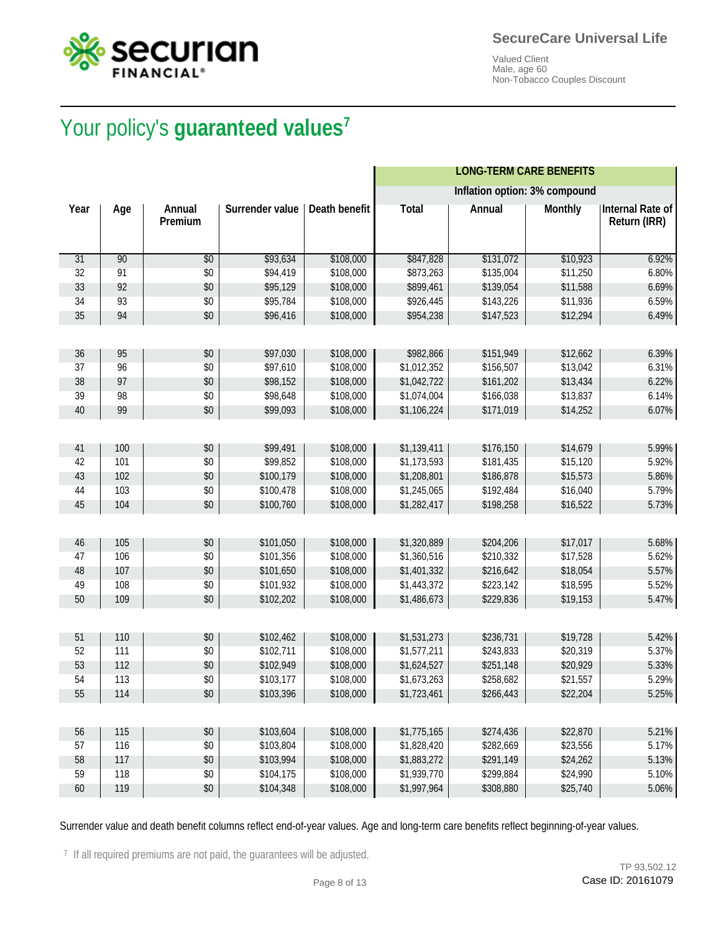



# Your policy's **guaranteed values<sup>7</sup>** Your policy's **guaranteed values**

|      |     |                   |                 |               |              | <b>LONG-TERM CARE BENEFITS</b> |                |                                  |
|------|-----|-------------------|-----------------|---------------|--------------|--------------------------------|----------------|----------------------------------|
|      |     |                   |                 |               |              | Inflation option: 3% compound  |                |                                  |
| Year | Age | Annual<br>Premium | Surrender value | Death benefit | <b>Total</b> | Annual                         | <b>Monthly</b> | Internal Rate of<br>Return (IRR) |
| 31   | 90  | \$0               | \$93,634        | \$108,000     | \$847,828    | \$131,072                      | \$10,923       | 6.92%                            |
| 32   | 91  | \$0               | \$94,419        | \$108,000     | \$873,263    | \$135,004                      | \$11,250       | 6.80%                            |
| 33   | 92  | \$0               | \$95,129        | \$108,000     | \$899,461    | \$139,054                      | \$11,588       | 6.69%                            |
| 34   | 93  | \$0               | \$95,784        | \$108,000     | \$926,445    | \$143,226                      | \$11,936       | 6.59%                            |
| 35   | 94  | \$0               | \$96,416        | \$108,000     | \$954,238    | \$147,523                      | \$12,294       | 6.49%                            |
|      |     |                   |                 |               |              |                                |                |                                  |
| 36   | 95  | \$0               | \$97,030        | \$108,000     | \$982,866    | \$151,949                      | \$12,662       | 6.39%                            |
| 37   | 96  | \$0               | \$97,610        | \$108,000     | \$1,012,352  | \$156,507                      | \$13,042       | 6.31%                            |
| 38   | 97  | \$0               | \$98,152        | \$108,000     | \$1,042,722  | \$161,202                      | \$13,434       | 6.22%                            |
| 39   | 98  | \$0               | \$98,648        | \$108,000     | \$1,074,004  | \$166,038                      | \$13,837       | 6.14%                            |
| 40   | 99  | \$0               | \$99,093        | \$108,000     | \$1,106,224  | \$171,019                      | \$14,252       | 6.07%                            |
|      |     |                   |                 |               |              |                                |                |                                  |
| 41   | 100 | \$0               | \$99,491        | \$108,000     | \$1,139,411  | \$176,150                      | \$14,679       | 5.99%                            |
| 42   | 101 | \$0               | \$99,852        | \$108,000     | \$1,173,593  | \$181,435                      | \$15,120       | 5.92%                            |
| 43   | 102 | \$0               | \$100,179       | \$108,000     | \$1,208,801  | \$186,878                      | \$15,573       | 5.86%                            |
| 44   | 103 | \$0               | \$100,478       | \$108,000     | \$1,245,065  | \$192,484                      | \$16,040       | 5.79%                            |
| 45   | 104 | \$0               | \$100,760       | \$108,000     | \$1,282,417  | \$198,258                      | \$16,522       | 5.73%                            |
|      |     |                   |                 |               |              |                                |                |                                  |
| 46   | 105 | \$0               | \$101,050       | \$108,000     | \$1,320,889  | \$204,206                      | \$17,017       | 5.68%                            |
| 47   | 106 | \$0               | \$101,356       | \$108,000     | \$1,360,516  | \$210,332                      | \$17,528       | 5.62%                            |
| 48   | 107 | \$0               | \$101,650       | \$108,000     | \$1,401,332  | \$216,642                      | \$18,054       | 5.57%                            |
| 49   | 108 | \$0               | \$101,932       | \$108,000     | \$1,443,372  | \$223,142                      | \$18,595       | 5.52%                            |
| 50   | 109 | \$0               | \$102,202       | \$108,000     | \$1,486,673  | \$229,836                      | \$19,153       | 5.47%                            |
|      |     |                   |                 |               |              |                                |                |                                  |
| 51   | 110 | \$0               | \$102,462       | \$108,000     | \$1,531,273  | \$236,731                      | \$19,728       | 5.42%                            |
| 52   | 111 | \$0               | \$102,711       | \$108,000     | \$1,577,211  | \$243,833                      | \$20,319       | 5.37%                            |
| 53   | 112 | \$0               | \$102,949       | \$108,000     | \$1,624,527  | \$251,148                      | \$20,929       | 5.33%                            |
| 54   | 113 | \$0               | \$103,177       | \$108,000     | \$1,673,263  | \$258,682                      | \$21,557       | 5.29%                            |
| 55   | 114 | $\$0$             | \$103,396       | \$108,000     | \$1,723,461  | \$266,443                      | \$22,204       | 5.25%                            |
|      |     |                   |                 |               |              |                                |                |                                  |
| 56   | 115 | \$0               | \$103,604       | \$108,000     | \$1,775,165  | \$274,436                      | \$22,870       | 5.21%                            |
| 57   | 116 | $$0$$             | \$103,804       | \$108,000     | \$1,828,420  | \$282,669                      | \$23,556       | 5.17%                            |
| 58   | 117 | \$0               | \$103,994       | \$108,000     | \$1,883,272  | \$291,149                      | \$24,262       | 5.13%                            |
| 59   | 118 | \$0               | \$104,175       | \$108,000     | \$1,939,770  | \$299,884                      | \$24,990       | 5.10%                            |
| 60   | 119 | \$0               | \$104,348       | \$108,000     | \$1,997,964  | \$308,880                      | \$25,740       | 5.06%                            |

Surrender value and death benefit columns reflect end-of-year values. Age and long-term care benefits reflect beginning-of-year values.

<sup>7</sup> If all required premiums are not paid, the guarantees will be adjusted.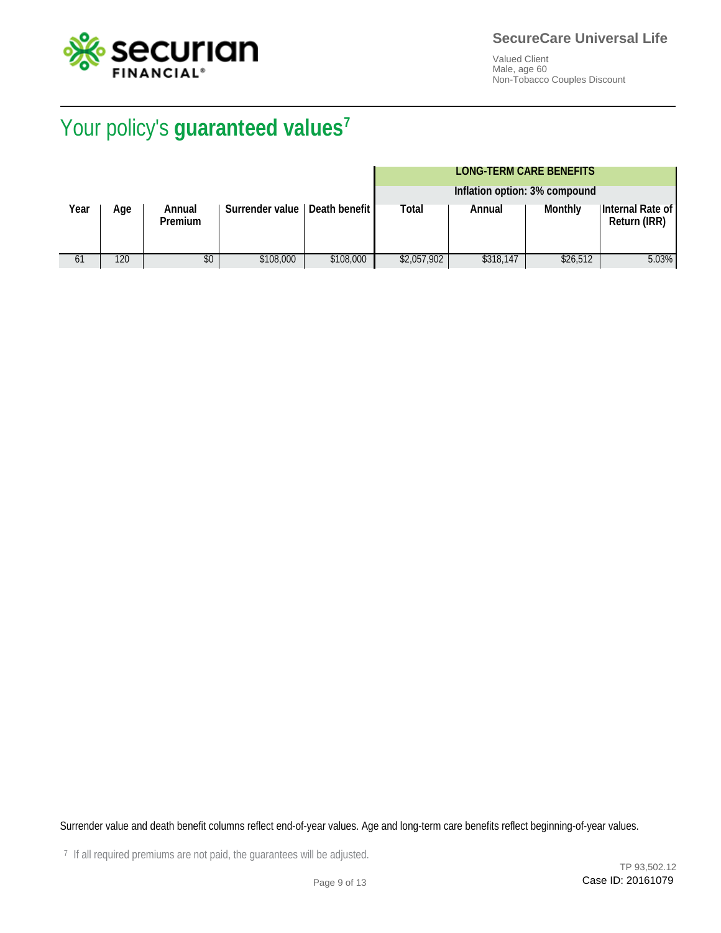

# Your policy's **guaranteed values<sup>7</sup>** Your policy's **guaranteed values**

#### **LONG-TERM CARE BENEFITS**

|      |     |                          |                        |                        |             | Inflation option: 3% compound |          |                                         |
|------|-----|--------------------------|------------------------|------------------------|-------------|-------------------------------|----------|-----------------------------------------|
| Year | Age | Annual<br><b>Premium</b> | <b>Surrender value</b> | <b>Death benefit I</b> | Total       | Annual                        | Monthly  | Internal Rate of<br><b>Return (IRR)</b> |
| 61   | 120 | \$0                      | \$108,000              | \$108,000              | \$2,057,902 | \$318.147                     | \$26,512 | 5.03%                                   |

Surrender value and death benefit columns reflect end-of-year values. Age and long-term care benefits reflect beginning-of-year values.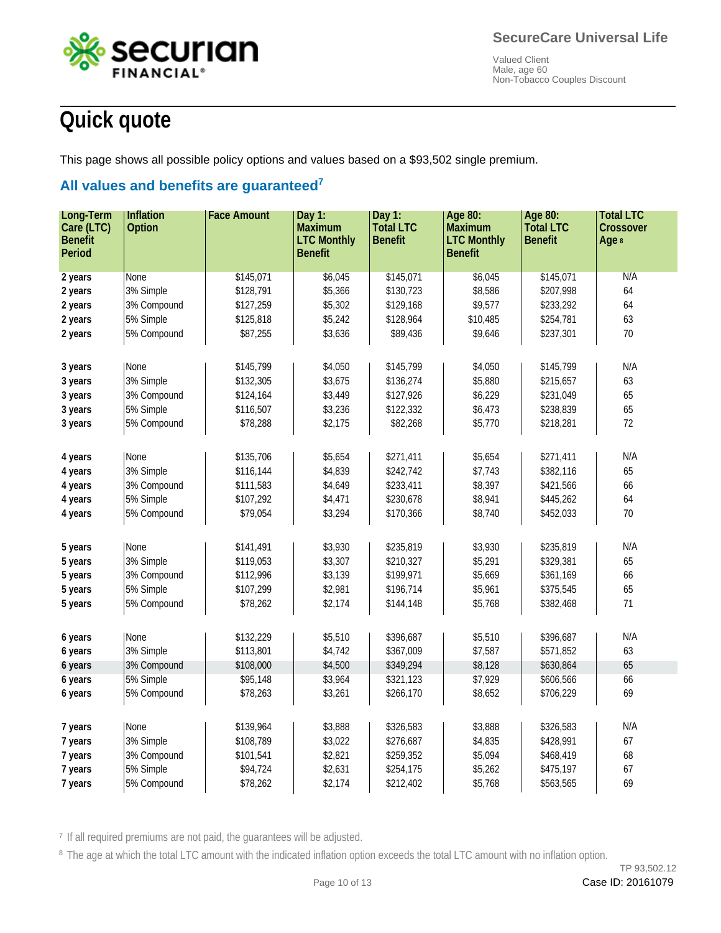

# **Quick quote**

This page shows all possible policy options and values based on a \$93,502 single premium.

## **All values and benefits are guaranteed<sup>7</sup> All values and benefits are guaranteed**

| Long-Term      | Inflation                | <b>Face Amount</b>     | Day $1:$           | Day 1:           | Age 80:            | Age 80:                | <b>Total LTC</b> |
|----------------|--------------------------|------------------------|--------------------|------------------|--------------------|------------------------|------------------|
| Care (LTC)     | <b>Option</b>            |                        | <b>Maximum</b>     | <b>Total LTC</b> | <b>Maximum</b>     | <b>Total LTC</b>       | <b>Crossover</b> |
| <b>Benefit</b> |                          |                        | <b>LTC Monthly</b> | <b>Benefit</b>   | <b>LTC Monthly</b> | <b>Benefit</b>         | Age 8            |
| <b>Period</b>  |                          |                        | <b>Benefit</b>     |                  | <b>Benefit</b>     |                        |                  |
| 2 years        | None                     | \$145,071              | \$6,045            | \$145,071        | \$6,045            | \$145,071              | N/A              |
| 2 years        | 3% Simple                | \$128,791              | \$5,366            | \$130,723        | \$8,586            | \$207,998              | 64               |
| 2 years        | 3% Compound              | \$127,259              | \$5,302            | \$129,168        | \$9,577            | \$233,292              | 64               |
| 2 years        | 5% Simple                | \$125,818              | \$5,242            | \$128,964        | \$10,485           | \$254,781              | 63               |
| 2 years        | 5% Compound              | \$87,255               | \$3,636            | \$89,436         | \$9,646            | \$237,301              | 70               |
|                |                          |                        |                    |                  |                    |                        |                  |
| 3 years        | None                     | \$145,799              | \$4,050            | \$145,799        | \$4,050            | \$145,799              | N/A              |
| 3 years        | 3% Simple                | \$132,305              | \$3,675            | \$136,274        | \$5,880            | \$215,657              | 63               |
| 3 years        | 3% Compound              | \$124,164              | \$3,449            | \$127,926        | \$6,229            | \$231,049              | 65               |
| 3 years        | 5% Simple                | \$116,507              | \$3,236            | \$122,332        | \$6,473            | \$238,839              | 65               |
| 3 years        | 5% Compound              | \$78,288               | \$2,175            | \$82,268         | \$5,770            | \$218,281              | 72               |
|                |                          |                        |                    |                  |                    |                        |                  |
| 4 years        | None                     | \$135,706              | \$5,654            | \$271,411        | \$5,654            | \$271,411              | N/A              |
| 4 years        | 3% Simple                | \$116,144              | \$4,839            | \$242,742        | \$7,743            | \$382,116              | 65               |
| 4 years        | 3% Compound              | \$111,583              | \$4,649            | \$233,411        | \$8,397            | \$421,566              | 66               |
| 4 years        | 5% Simple                | \$107,292              | \$4,471            | \$230,678        | \$8,941            | \$445,262              | 64               |
| 4 years        | 5% Compound              | \$79,054               | \$3,294            | \$170,366        | \$8,740            | \$452,033              | 70               |
|                |                          |                        |                    |                  |                    |                        |                  |
|                | None                     |                        | \$3,930            | \$235,819        | \$3,930            | \$235,819              | N/A              |
| 5 years        | 3% Simple                | \$141,491              | \$3,307            | \$210,327        | \$5,291            | \$329,381              | 65               |
| 5 years        | 3% Compound              | \$119,053              | \$3,139            | \$199,971        | \$5,669            |                        | 66               |
| 5 years        | 5% Simple                | \$112,996<br>\$107,299 | \$2,981            | \$196,714        | \$5,961            | \$361,169<br>\$375,545 | 65               |
| 5 years        | 5% Compound              | \$78,262               | \$2,174            | \$144,148        | \$5,768            | \$382,468              | $71\,$           |
| 5 years        |                          |                        |                    |                  |                    |                        |                  |
|                |                          |                        |                    |                  |                    |                        |                  |
| 6 years        | None                     | \$132,229              | \$5,510            | \$396,687        | \$5,510            | \$396,687              | N/A              |
| 6 years        | 3% Simple                | \$113,801              | \$4,742            | \$367,009        | \$7,587            | \$571,852              | 63<br>65         |
| 6 years        | 3% Compound<br>5% Simple | \$108,000              | \$4,500            | \$349,294        | \$8,128<br>\$7,929 | \$630,864              | 66               |
| 6 years        |                          | \$95,148               | \$3,964            | \$321,123        |                    | \$606,566              |                  |
| 6 years        | 5% Compound              | \$78,263               | \$3,261            | \$266,170        | \$8,652            | \$706,229              | 69               |
|                |                          |                        |                    |                  |                    |                        |                  |
| 7 years        | None                     | \$139,964              | \$3,888            | \$326,583        | \$3,888            | \$326,583              | N/A              |
| 7 years        | 3% Simple                | \$108,789              | \$3,022            | \$276,687        | \$4,835            | \$428,991              | 67               |
| 7 years        | 3% Compound              | \$101,541              | \$2,821            | \$259,352        | \$5,094            | \$468,419              | 68               |
| 7 years        | 5% Simple                | \$94,724               | \$2,631            | \$254,175        | \$5,262            | \$475,197              | 67               |
| 7 years        | 5% Compound              | \$78,262               | \$2,174            | \$212,402        | \$5,768            | \$563,565              | 69               |

<sup>7</sup> If all required premiums are not paid, the guarantees will be adjusted.

<sup>8</sup> The age at which the total LTC amount with the indicated inflation option exceeds the total LTC amount with no inflation option.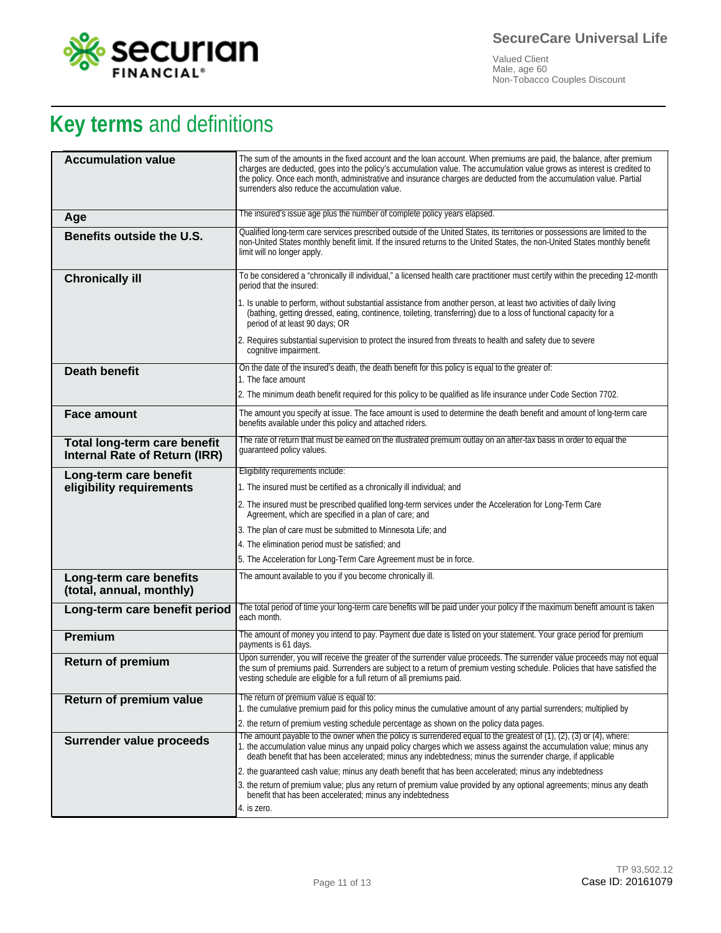

# **Key terms** and definitions

| <b>Accumulation value</b>                                     | The sum of the amounts in the fixed account and the loan account. When premiums are paid, the balance, after premium<br>charges are deducted, goes into the policy's accumulation value. The accumulation value grows as interest is credited to<br>the policy. Once each month, administrative and insurance charges are deducted from the accumulation value. Partial<br>surrenders also reduce the accumulation value. |
|---------------------------------------------------------------|---------------------------------------------------------------------------------------------------------------------------------------------------------------------------------------------------------------------------------------------------------------------------------------------------------------------------------------------------------------------------------------------------------------------------|
| Age                                                           | The insured's issue age plus the number of complete policy years elapsed.                                                                                                                                                                                                                                                                                                                                                 |
| Benefits outside the U.S.                                     | Qualified long-term care services prescribed outside of the United States, its territories or possessions are limited to the<br>non-United States monthly benefit limit. If the insured returns to the United States, the non-United States monthly benefit<br>limit will no longer apply.                                                                                                                                |
| <b>Chronically ill</b>                                        | To be considered a "chronically ill individual," a licensed health care practitioner must certify within the preceding 12-month<br>period that the insured:                                                                                                                                                                                                                                                               |
|                                                               | 1. Is unable to perform, without substantial assistance from another person, at least two activities of daily living<br>(bathing, getting dressed, eating, continence, toileting, transferring) due to a loss of functional capacity for a<br>period of at least 90 days; OR                                                                                                                                              |
|                                                               | 2. Requires substantial supervision to protect the insured from threats to health and safety due to severe<br>cognitive impairment.                                                                                                                                                                                                                                                                                       |
| <b>Death benefit</b>                                          | On the date of the insured's death, the death benefit for this policy is equal to the greater of:<br>1. The face amount                                                                                                                                                                                                                                                                                                   |
|                                                               | 2. The minimum death benefit required for this policy to be qualified as life insurance under Code Section 7702.                                                                                                                                                                                                                                                                                                          |
| <b>Face amount</b>                                            | The amount you specify at issue. The face amount is used to determine the death benefit and amount of long-term care                                                                                                                                                                                                                                                                                                      |
|                                                               | benefits available under this policy and attached riders.                                                                                                                                                                                                                                                                                                                                                                 |
| Total long-term care benefit<br>Internal Rate of Return (IRR) | The rate of return that must be earned on the illustrated premium outlay on an after-tax basis in order to equal the<br>quaranteed policy values.                                                                                                                                                                                                                                                                         |
| Long-term care benefit                                        | Eligibility requirements include:                                                                                                                                                                                                                                                                                                                                                                                         |
| eligibility requirements                                      | 1. The insured must be certified as a chronically ill individual; and                                                                                                                                                                                                                                                                                                                                                     |
|                                                               | 2. The insured must be prescribed qualified long-term services under the Acceleration for Long-Term Care<br>Agreement, which are specified in a plan of care; and                                                                                                                                                                                                                                                         |
|                                                               | 3. The plan of care must be submitted to Minnesota Life; and                                                                                                                                                                                                                                                                                                                                                              |
|                                                               | 4. The elimination period must be satisfied; and                                                                                                                                                                                                                                                                                                                                                                          |
|                                                               | 5. The Acceleration for Long-Term Care Agreement must be in force.                                                                                                                                                                                                                                                                                                                                                        |
| Long-term care benefits<br>(total, annual, monthly)           | The amount available to you if you become chronically ill.                                                                                                                                                                                                                                                                                                                                                                |
| Long-term care benefit period                                 | The total period of time your long-term care benefits will be paid under your policy if the maximum benefit amount is taken<br>each month.                                                                                                                                                                                                                                                                                |
| Premium                                                       | The amount of money you intend to pay. Payment due date is listed on your statement. Your grace period for premium<br>payments is 61 days.                                                                                                                                                                                                                                                                                |
| <b>Return of premium</b>                                      | Upon surrender, you will receive the greater of the surrender value proceeds. The surrender value proceeds may not equal<br>the sum of premiums paid. Surrenders are subject to a return of premium vesting schedule. Policies that have satisfied the<br>vesting schedule are eligible for a full return of all premiums paid.                                                                                           |
| Return of premium value                                       | The return of premium value is equal to:                                                                                                                                                                                                                                                                                                                                                                                  |
|                                                               | 1. the cumulative premium paid for this policy minus the cumulative amount of any partial surrenders; multiplied by<br>2. the return of premium vesting schedule percentage as shown on the policy data pages.                                                                                                                                                                                                            |
| Surrender value proceeds                                      | The amount payable to the owner when the policy is surrendered equal to the greatest of $(1)$ , $(2)$ , $(3)$ or $(4)$ , where:                                                                                                                                                                                                                                                                                           |
|                                                               | 1. the accumulation value minus any unpaid policy charges which we assess against the accumulation value; minus any<br>death benefit that has been accelerated; minus any indebtedness; minus the surrender charge, if applicable                                                                                                                                                                                         |
|                                                               | 2. the guaranteed cash value; minus any death benefit that has been accelerated; minus any indebtedness                                                                                                                                                                                                                                                                                                                   |
|                                                               | 3. the return of premium value; plus any return of premium value provided by any optional agreements; minus any death<br>benefit that has been accelerated; minus any indebtedness                                                                                                                                                                                                                                        |
|                                                               | 4. is zero.                                                                                                                                                                                                                                                                                                                                                                                                               |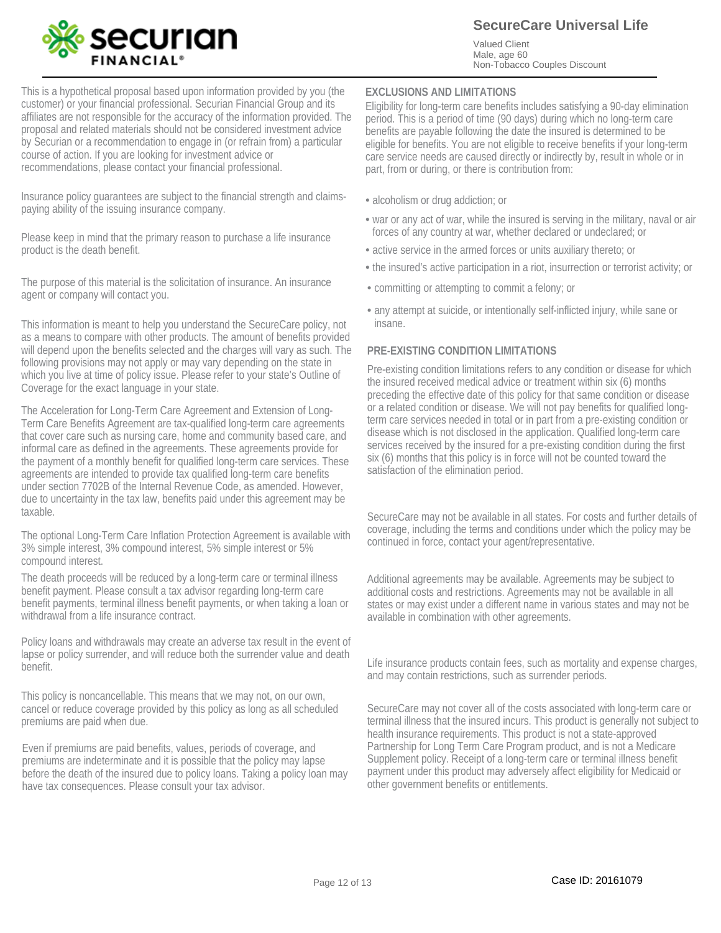

**SecureCare Universal Life**

Valued Client Male, age 60 Non-Tobacco Couples Discount

This is a hypothetical proposal based upon information provided by you (the customer) or your financial professional. Securian Financial Group and its affiliates are not responsible for the accuracy of the information provided. The proposal and related materials should not be considered investment advice by Securian or a recommendation to engage in (or refrain from) a particular course of action. If you are looking for investment advice or recommendations, please contact your financial professional.

Insurance policy guarantees are subject to the financial strength and claimspaying ability of the issuing insurance company.

Please keep in mind that the primary reason to purchase a life insurance product is the death benefit.

The purpose of this material is the solicitation of insurance. An insurance agent or company will contact you.

This information is meant to help you understand the SecureCare policy, not as a means to compare with other products. The amount of benefits provided will depend upon the benefits selected and the charges will vary as such. The following provisions may not apply or may vary depending on the state in which you live at time of policy issue. Please refer to your state's Outline of Coverage for the exact language in your state.

The Acceleration for Long-Term Care Agreement and Extension of Long-Term Care Benefits Agreement are tax-qualified long-term care agreements that cover care such as nursing care, home and community based care, and informal care as defined in the agreements. These agreements provide for the payment of a monthly benefit for qualified long-term care services. These agreements are intended to provide tax qualified long-term care benefits under section 7702B of the Internal Revenue Code, as amended. However, due to uncertainty in the tax law, benefits paid under this agreement may be taxable.

The optional Long-Term Care Inflation Protection Agreement is available with 3% simple interest, 3% compound interest, 5% simple interest or 5% compound interest.

The death proceeds will be reduced by a long-term care or terminal illness benefit payment. Please consult a tax advisor regarding long-term care benefit payments, terminal illness benefit payments, or when taking a loan or withdrawal from a life insurance contract.

Policy loans and withdrawals may create an adverse tax result in the event of lapse or policy surrender, and will reduce both the surrender value and death benefit.

This policy is noncancellable. This means that we may not, on our own, cancel or reduce coverage provided by this policy as long as all scheduled premiums are paid when due.

Even if premiums are paid benefits, values, periods of coverage, and premiums are indeterminate and it is possible that the policy may lapse before the death of the insured due to policy loans. Taking a policy loan may have tax consequences. Please consult your tax advisor.

#### **EXCLUSIONS AND LIMITATIONS**

Eligibility for long-term care benefits includes satisfying a 90-day elimination period. This is a period of time (90 days) during which no long-term care benefits are payable following the date the insured is determined to be eligible for benefits. You are not eligible to receive benefits if your long-term care service needs are caused directly or indirectly by, result in whole or in part, from or during, or there is contribution from:

- alcoholism or drug addiction; or
- war or any act of war, while the insured is serving in the military, naval or air forces of any country at war, whether declared or undeclared; or
- active service in the armed forces or units auxiliary thereto; or
- the insured's active participation in a riot, insurrection or terrorist activity; or
- committing or attempting to commit a felony; or •
- any attempt at suicide, or intentionally self-inflicted injury, while sane or insane.

#### **PRE-EXISTING CONDITION LIMITATIONS**

Pre-existing condition limitations refers to any condition or disease for which the insured received medical advice or treatment within six (6) months preceding the effective date of this policy for that same condition or disease or a related condition or disease. We will not pay benefits for qualified longterm care services needed in total or in part from a pre-existing condition or disease which is not disclosed in the application. Qualified long-term care services received by the insured for a pre-existing condition during the first six (6) months that this policy is in force will not be counted toward the satisfaction of the elimination period.

SecureCare may not be available in all states. For costs and further details of coverage, including the terms and conditions under which the policy may be continued in force, contact your agent/representative.

Additional agreements may be available. Agreements may be subject to additional costs and restrictions. Agreements may not be available in all states or may exist under a different name in various states and may not be available in combination with other agreements.

Life insurance products contain fees, such as mortality and expense charges, and may contain restrictions, such as surrender periods.

SecureCare may not cover all of the costs associated with long-term care or terminal illness that the insured incurs. This product is generally not subject to health insurance requirements. This product is not a state-approved Partnership for Long Term Care Program product, and is not a Medicare Supplement policy. Receipt of a long-term care or terminal illness benefit payment under this product may adversely affect eligibility for Medicaid or other government benefits or entitlements.